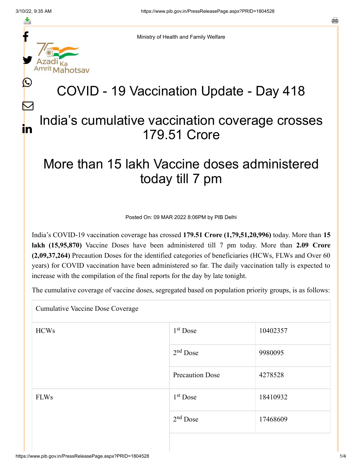≛

 $\bm{\nabla}$ 

in

o



Ministry of Health and Family Welfare

## COVID - 19 Vaccination Update - Day 418

## India's cumulative vaccination coverage crosses 179.51 Crore

## More than 15 lakh Vaccine doses administered today till 7 pm

Posted On: 09 MAR 2022 8:06PM by PIB Delhi

India's COVID-19 vaccination coverage has crossed **179.51 Crore (1,79,51,20,996)** today. More than **15 lakh (15,95,870)** Vaccine Doses have been administered till 7 pm today. More than **2.09 Crore (2,09,37,264)** Precaution Doses for the identified categories of beneficiaries (HCWs, FLWs and Over 60 years) for COVID vaccination have been administered so far. The daily vaccination tally is expected to increase with the compilation of the final reports for the day by late tonight.

The cumulative coverage of vaccine doses, segregated based on population priority groups, is as follows:

Cumulative Vaccine Dose Coverage

| <b>HCWs</b> | $1st$ Dose             | 10402357 |
|-------------|------------------------|----------|
|             | $2nd$ Dose             | 9980095  |
|             | <b>Precaution Dose</b> | 4278528  |
| <b>FLWs</b> | $1st$ Dose             | 18410932 |
|             | $2nd$ Dose             | 17468609 |
|             |                        |          |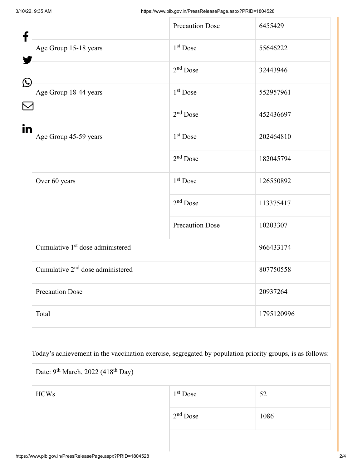| f            |                                              | <b>Precaution Dose</b> | 6455429    |  |
|--------------|----------------------------------------------|------------------------|------------|--|
|              | Age Group 15-18 years                        | 1 <sup>st</sup> Dose   | 55646222   |  |
| $\bf \Omega$ |                                              | $2nd$ Dose             | 32443946   |  |
|              | Age Group 18-44 years                        | 1 <sup>st</sup> Dose   | 552957961  |  |
|              |                                              | $2nd$ Dose             | 452436697  |  |
| in           | Age Group 45-59 years                        | 1 <sup>st</sup> Dose   | 202464810  |  |
|              |                                              | $2nd$ Dose             | 182045794  |  |
|              | Over 60 years                                | $1st$ Dose             | 126550892  |  |
|              |                                              | $2nd$ Dose             | 113375417  |  |
|              |                                              | <b>Precaution Dose</b> | 10203307   |  |
|              | Cumulative 1 <sup>st</sup> dose administered |                        | 966433174  |  |
|              | Cumulative 2 <sup>nd</sup> dose administered |                        | 807750558  |  |
|              | <b>Precaution Dose</b>                       |                        | 20937264   |  |
|              | Total                                        |                        | 1795120996 |  |

Today's achievement in the vaccination exercise, segregated by population priority groups, is as follows:

| Date: $9^{th}$ March, 2022 (418 <sup>th</sup> Day) |            |      |  |  |
|----------------------------------------------------|------------|------|--|--|
| <b>HCWs</b>                                        | $1st$ Dose | 52   |  |  |
|                                                    | $2nd$ Dose | 1086 |  |  |
|                                                    |            |      |  |  |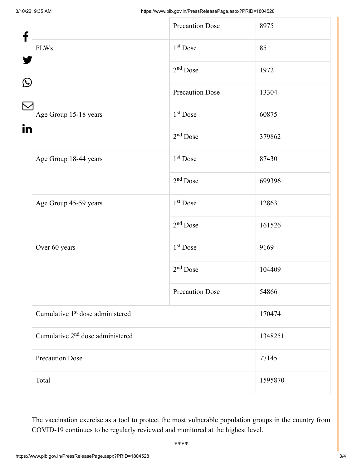| f<br>$\mathbf{\Omega}$ |                                              | <b>Precaution Dose</b> | 8975    |  |
|------------------------|----------------------------------------------|------------------------|---------|--|
|                        | <b>FLWs</b>                                  | 1 <sup>st</sup> Dose   | 85      |  |
|                        |                                              | $2nd$ Dose             | 1972    |  |
|                        |                                              | <b>Precaution Dose</b> | 13304   |  |
|                        | Age Group 15-18 years                        | $1st$ Dose             | 60875   |  |
| in                     |                                              | $2nd$ Dose             | 379862  |  |
|                        | Age Group 18-44 years                        | 1 <sup>st</sup> Dose   | 87430   |  |
|                        |                                              | $2nd$ Dose             | 699396  |  |
|                        | Age Group 45-59 years                        | $1st$ Dose             | 12863   |  |
|                        |                                              | $2nd$ Dose             | 161526  |  |
|                        | Over 60 years                                | 1 <sup>st</sup> Dose   | 9169    |  |
|                        |                                              | $2nd$ Dose             | 104409  |  |
|                        |                                              | <b>Precaution Dose</b> | 54866   |  |
|                        | Cumulative 1 <sup>st</sup> dose administered |                        | 170474  |  |
|                        | Cumulative 2 <sup>nd</sup> dose administered |                        | 1348251 |  |
|                        | <b>Precaution Dose</b>                       |                        | 77145   |  |
|                        | Total                                        |                        | 1595870 |  |

The vaccination exercise as a tool to protect the most vulnerable population groups in the country from COVID-19 continues to be regularly reviewed and monitored at the highest level.